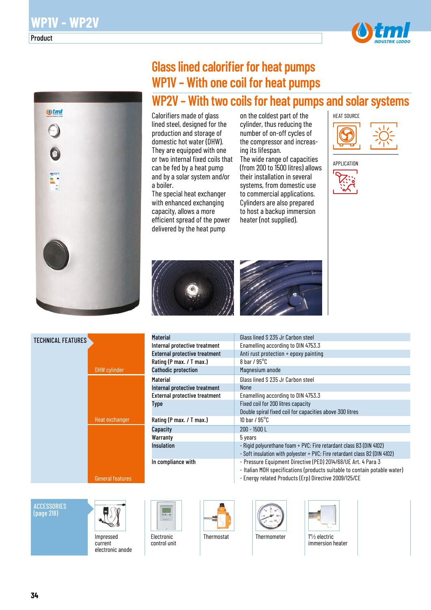

# **Glass lined calorifier for heat pumps WP1V – With one coil for heat pumps**

## **WP2V – With two coils for heat pumps and solar systems**

Calorifiers made of glass lined steel, designed for the production and storage of domestic hot water (DHW). They are equipped with one or two internal fixed coils that can be fed by a heat pump and by a solar system and/or a boiler.

The special heat exchanger with enhanced exchanging capacity, allows a more efficient spread of the power delivered by the heat pump

on the coldest part of the cylinder, thus reducing the number of on-off cycles of the compressor and increasing its lifespan.

The wide range of capacities (from 200 to 1500 litres) allows their installation in several systems, from domestic use to commercial applications. Cylinders are also prepared to host a backup immersion heater (not supplied).







| <b>Material</b>                      | Glass lined S 235 Jr Carbon steel                                                                                                                                                                   |
|--------------------------------------|-----------------------------------------------------------------------------------------------------------------------------------------------------------------------------------------------------|
| Internal protective treatment        | Enamelling according to DIN 4753.3                                                                                                                                                                  |
| <b>External protective treatment</b> | Anti rust protection + epoxy painting                                                                                                                                                               |
| Rating (P max. / T max.)             | 8 har $/$ 95 $^{\circ}$ C                                                                                                                                                                           |
| <b>Cathodic protection</b>           | Magnesium anode                                                                                                                                                                                     |
| <b>Material</b>                      | Glass lined S 235 Jr Carbon steel                                                                                                                                                                   |
| Internal protective treatment        | None                                                                                                                                                                                                |
| <b>External protective treatment</b> | Enamelling according to DIN 4753.3                                                                                                                                                                  |
| <b>Type</b>                          | Fixed coil for 200 litres capacity                                                                                                                                                                  |
|                                      | Double spiral fixed coil for capacities above 300 litres                                                                                                                                            |
| Rating (P max. / T max.)             | 10 har / $95^{\circ}$ C                                                                                                                                                                             |
| Capacity                             | $200 - 1500$ L                                                                                                                                                                                      |
| Warranty                             | 5 years                                                                                                                                                                                             |
| <b>Insulation</b>                    | - Rigid polyurethane foam + PVC: Fire retardant class B3 (DIN 4102)                                                                                                                                 |
|                                      | - Soft insulation with polyester + PVC: Fire retardant class B2 (DIN 4102)                                                                                                                          |
| In compliance with                   | - Pressure Equipment Directive (PED) 2014/68/UE Art. 4 Para 3<br>- Italian MOH specifications (products suitable to contain potable water)<br>- Energy related Products (Erp) Directive 2009/125/CE |

#### **ACCESSORIES** (page 218)

TECHNICAL FEATURES



DHW cylinder

Heat exchanger

General features

Impressed current electronic anode



Electronic control unit



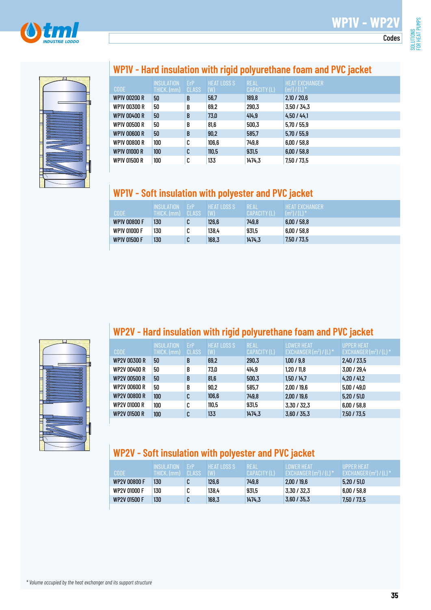



## **WP1V - Hard insulation with rigid polyurethane foam and PVC jacket**

| <b>CODE</b>         | <b>INSULATION</b><br>THICK. (mm) | ErP<br><b>CLASS</b> | <b>HEAT LOSS S</b><br>(W) | <b>REAL</b><br>CAPACITY (L) | <b>HEAT EXCHANGER</b><br>$(m^2) / (L)^*$ |
|---------------------|----------------------------------|---------------------|---------------------------|-----------------------------|------------------------------------------|
| <b>WP1V 00200 R</b> | 50                               | B                   | 56,7                      | 189,8                       | 2,10/20,6                                |
| WP1V 00300 R        | 50                               | B                   | 69.2                      | 290,3                       | 3,50/34,3                                |
| WP1V 00400 R        | 50                               | B                   | 73,0                      | 414.9                       | 4.50 / 44.1                              |
| WP1V 00500 R        | 50                               | B                   | 81,6                      | 500,3                       | 5.70 / 55.9                              |
| <b>WP1V 00600 R</b> | 50                               | B                   | 90,2                      | 585,7                       | 5,70/55,9                                |
| WP1V 00800 R        | 100                              | C                   | 106,6                     | 749,8                       | 6,00/58,8                                |
| WP1V 01000 R        | 100 <sub>1</sub>                 | C                   | 110,5                     | 931,5                       | 6,00/58,8                                |
| WP1V 01500 R        | 100                              | C                   | 133                       | 1474.3                      | 7,50 / 73,5                              |

### **WP1V - Soft insulation with polyester and PVC jacket**

| CODE                | <b>INSULATION</b><br>THICK. (mm) | FrP.<br>CLASS | <b>HEAT LOSS S</b><br>(W) | <b>REAL</b><br>CAPACITY (L) | <b>HEAT EXCHANGER</b><br>$(m2)/(L)*$ |
|---------------------|----------------------------------|---------------|---------------------------|-----------------------------|--------------------------------------|
| <b>WP1V 00800 F</b> | 130                              | C             | 126,6                     | 749.8                       | 6.00 / 58.8                          |
| <b>WP1V 01000 F</b> | 130                              | r<br>u        | 138,4                     | 931,5                       | 6.00 / 58.8                          |
| <b>WP1V 01500 F</b> | 130                              | C             | 168,3                     | 1474.3                      | 7.50 / 73.5                          |



### **WP2V - Hard insulation with rigid polyurethane foam and PVC jacket**

| <b>CODE</b>         | <b>INSULATION</b><br>THICK. (mm) | ErP<br><b>CLASS</b> | <b>HEAT LOSS S</b><br>(W) | <b>REAL</b><br>CAPACITY (L) | <b>LOWER HEAT</b><br>EXCHANGER $(m^2) / (L)^*$ | <b>UPPER HEAT</b><br>EXCHANGER $(m2)/(L)$ <sup>*</sup> |
|---------------------|----------------------------------|---------------------|---------------------------|-----------------------------|------------------------------------------------|--------------------------------------------------------|
| <b>WP2V 00300 R</b> | 50                               | B                   | 69,2                      | 290,3                       | 1,00/9,8                                       | 2,40 / 23,5                                            |
| WP2V 00400 R        | 50                               | B                   | 73,0                      | 414.9                       | 1.20 / 11.8                                    | 3,00/29.4                                              |
| WP2V 00500 R        | 50                               | B                   | 81,6                      | 500,3                       | 1,50/14,7                                      | 4,20/41,2                                              |
| WP2V 00600 R        | 50                               | B                   | 90.2                      | 585.7                       | 2,00/19.6                                      | 5.00 / 49.0                                            |
| <b>WP2V 00800 R</b> | 100                              | C                   | 106,6                     | 749.8                       | 2.00 / 19.6                                    | 5.20 / 51.0                                            |
| WP2V 01000 R        | 100                              | C                   | 110,5                     | 931,5                       | 3,30 / 32,3                                    | 6.00 / 58.8                                            |
| <b>WP2V 01500 R</b> | 100                              | C                   | 133                       | 1474.3                      | 3,60/35,3                                      | 7,50 / 73,5                                            |

## **WP2V - Soft insulation with polyester and PVC jacket**

| CODE                | INSULATION<br>THICK. (mm) CLASS | <b>FrP</b> | <b>HEAT LOSS S</b><br>(W) | <b>REAL</b><br>CAPACITY (L) | <b>LOWER HEAT</b><br>EXCHANGER $(m^2) / (L)^*$ | <b>UPPER HEAT</b><br>EXCHANGER $(m2) / (L)$ <sup>*</sup> |
|---------------------|---------------------------------|------------|---------------------------|-----------------------------|------------------------------------------------|----------------------------------------------------------|
| <b>WP2V 00800 F</b> | 130                             | C          | 126,6                     | 749.8                       | 2.00 / 19.6                                    | 5.20 / 51.0                                              |
| WP2V 01000 F        | 130                             | r<br>u     | 138,4                     | 931,5                       | 3.30 / 32.3                                    | 6,00/58,8                                                |
| <b>WP2V 01500 F</b> | 130                             | C          | 168,3                     | 1474.3                      | 3,60/35,3                                      | 7,50 / 73,5                                              |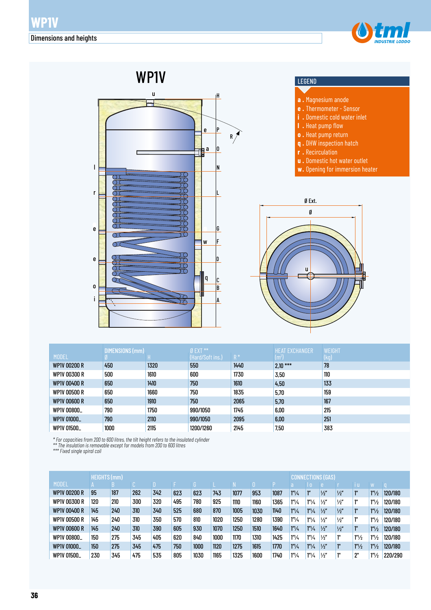



|                     | <b>DIMENSIONS (mm)</b> |      | $Ø$ EXT $**$     |       | <b>HEAT EXCHANGER</b> | <b>WEIGHT</b> |
|---------------------|------------------------|------|------------------|-------|-----------------------|---------------|
| <b>MODEL</b>        |                        |      | (Hard/Soft ins.) | $R^*$ | $(m^2)$               | (kg)          |
| <b>WP1V 00200 R</b> | 450                    | 1320 | 550              | 1440  | $2,10***$             | 78            |
| WP1V 00300 R        | 500                    | 1610 | 600              | 1730  | 3,50                  | 110           |
| WP1V 00400 R        | 650                    | 1410 | 750              | 1610  | 4,50                  | 133           |
| <b>WP1V 00500 R</b> | 650                    | 1660 | 750              | 1835  | 5,70                  | 159           |
| <b>WP1V 00600 R</b> | 650                    | 1910 | 750              | 2065  | 5,70                  | 167           |
| WP1V 00800_         | 790                    | 1750 | 990/1050         | 1745  | 6,00                  | 215           |
| WP1V 01000_         | 790                    | 2110 | 990/1050         | 2095  | 6,00                  | 251           |
| WP1V 01500_         | 1000                   | 2115 | 1200/1260        | 2145  | 7.50                  | 383           |

*\* For capacities from 200 to 600 litres, the tilt height refers to the insulated cylinder* 

*\*\* The insulation is removable except for models from 200 to 600 litres*

*\*\*\* Fixed single spiral coil*

|                     | <b>HEIGHTS (mm)</b> |     |     |     |     |      | NS (GAS)<br>rion |      |      |      |                               |                               |               |               |                   |                   |         |
|---------------------|---------------------|-----|-----|-----|-----|------|------------------|------|------|------|-------------------------------|-------------------------------|---------------|---------------|-------------------|-------------------|---------|
| <b>MODEL</b>        |                     | в   |     |     |     |      |                  |      |      |      |                               | $\Omega$                      |               |               | ТU                |                   |         |
| <b>WP1V 00200 R</b> | 95                  | 187 | 262 | 342 | 623 | 623  | 743              | 1077 | 953  | 1087 | 1 <sup>n</sup> /4             | ľ"                            | $\frac{1}{2}$ | $\frac{1}{2}$ | ľ"                | 1 <sup>n</sup> /2 | 120/180 |
| <b>WP1V 00300 R</b> | 120                 | 210 | 300 | 320 | 495 | 780  | 925              | 1110 | 1160 | 1365 | $1^{\prime\prime}/4$          | $1''\frac{1}{4}$              | 1/2''         | $\frac{1}{2}$ | 1"                | 1 <sup>n</sup> /2 | 120/180 |
| <b>WP1V 00400 R</b> | 145                 | 240 | 310 | 340 | 525 | 680  | 870              | 1005 | 1030 | 1140 | 1 <sup>n</sup> /4             | $1''\frac{1}{4}$              | $\frac{1}{2}$ | $\frac{1}{2}$ | 1"                | 1 <sup>n</sup> /2 | 120/180 |
| <b>WP1V 00500 R</b> | 145                 | 240 | 310 | 350 | 570 | 810  | 1020             | 1250 | 1280 | 1390 | 1 <sup>n</sup> / <sub>4</sub> | 1 <sup>n</sup> / <sub>4</sub> | 1/2''         | $\frac{1}{2}$ | 111               | 1 <sup>n</sup> /2 | 120/180 |
| <b>WP1V 00600 R</b> | 145                 | 240 | 310 | 390 | 605 | 930  | 1070             | 1250 | 1510 | 1640 | 1 <sup>n</sup> /4             | 1''/4                         | 1/2''         | $\frac{1}{2}$ | $1^{\text{II}}$   | 1 <sup>n</sup> /2 | 120/180 |
| WP1V 00800          | 150                 | 275 | 345 | 405 | 620 | 840  | 1000             | 1170 | 1310 | 1425 | $1^{\prime\prime}/\mu$        | $1^{\prime\prime}/4$          | $\frac{1}{2}$ | 1"            | 1 <sup>n</sup> /2 | 1 <sup>n</sup> /2 | 120/180 |
| WP1V 01000_         | 150                 | 275 | 345 | 475 | 750 | 1000 | 1120             | 1275 | 1615 | 1770 | 1 <sup>n</sup> /4             | 1 <sup>n</sup> / <sub>4</sub> | 1/2''         | ı"            | 1 <sup>n</sup> /2 | 1 <sup>n</sup> /2 | 120/180 |
| WP1V 01500_         | 230                 | 345 | 475 | 535 | 805 | 1030 | 1165             | 1325 | 1600 | 1740 | 1 <sup>n</sup> /4             | $1''\frac{1}{4}$              | $\frac{1}{2}$ | 1"            | יימ               | 1 <sup>n</sup> /2 | 220/290 |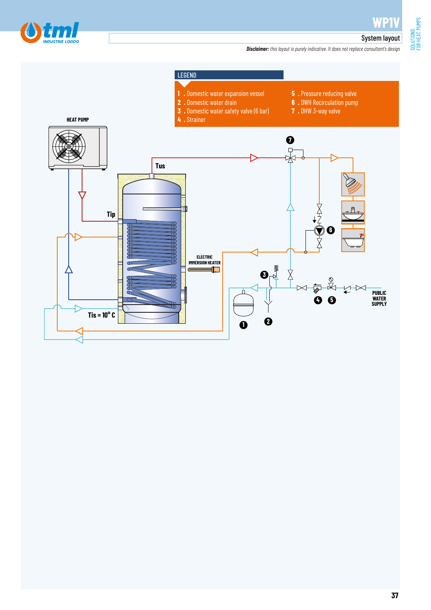

**WP1V**

#### System layout

*Disclaimer: this layout is purely indicative. It does not replace consultant's design*

FOR HEAT PUMPS

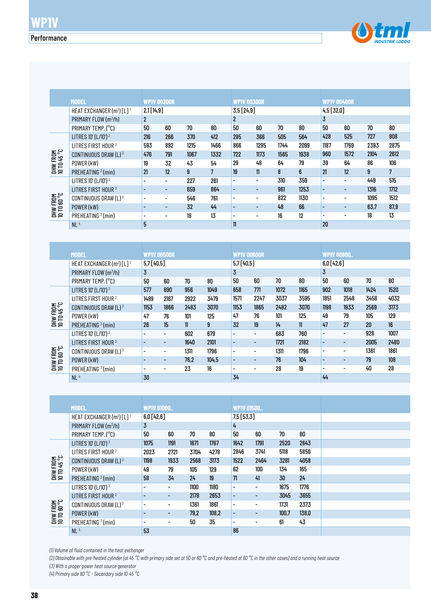

|                                | <b>MODEL</b>                            | <b>WP1V 00200R</b> |                          |      |      | <b>WP1V 00300R</b>       |                          |      |      | <b>WP1V 00400R</b>       |                          |      |      |  |
|--------------------------------|-----------------------------------------|--------------------|--------------------------|------|------|--------------------------|--------------------------|------|------|--------------------------|--------------------------|------|------|--|
|                                | HEAT EXCHANGER $(m^2)$ [L] <sup>1</sup> | 2,1[14,9]          |                          |      |      | 3,5[24,9]                |                          |      |      | 4,5[32,0]                |                          |      |      |  |
|                                | PRIMARY FLOW $(m^3/h)$                  | $\overline{2}$     |                          |      |      | 2                        |                          |      |      | 3                        |                          |      |      |  |
|                                | PRIMARY TEMP. (°C)                      | 50                 | 60                       | 70   | 80   | 50                       | 60                       | 70   | 80   | 50                       | 60                       | 70   | 80   |  |
|                                | LITRES 10' (L/10') <sup>2</sup>         | 216                | 266                      | 370  | 412  | 295                      | 366                      | 505  | 564  | 428                      | 525                      | 727  | 808  |  |
|                                | LITRES FIRST HOUR <sup>2</sup>          | 593                | 892                      | 1215 | 1466 | 866                      | 1295                     | 1744 | 2099 | 1187                     | 1769                     | 2393 | 2875 |  |
| DHW FROM<br>10 TO 45 °C        | CONTINUOUS DRAW (L) 3                   | 476                | 791                      | 1067 | 1332 | 722                      | 1173                     | 1565 | 1938 | 960                      | 1572                     | 2104 | 2612 |  |
|                                | POWER (kW)                              | 19                 | 32                       | 43   | 54   | 29                       | 48                       | 64   | 79   | 39                       | 64                       | 86   | 106  |  |
|                                | PREHEATING <sup>3</sup> (min)           | 21                 | 12                       | 9    | 7    | 19                       | $\mathbf{n}$             | 8    | 6    | 21                       | 12                       | 9    | 7    |  |
|                                | LITRES 10' (L/10') <sup>2</sup>         | $\overline{a}$     | $\overline{\phantom{a}}$ | 227  | 261  | $\overline{\phantom{0}}$ | -                        | 310  | 359  | $\overline{\phantom{a}}$ | $\overline{\phantom{0}}$ | 449  | 515  |  |
|                                | LITRES FIRST HOUR <sup>2</sup>          |                    | $\overline{\phantom{a}}$ | 659  | 864  | $\overline{\phantom{a}}$ | -                        | 961  | 1253 | $\overline{a}$           | $\overline{\phantom{0}}$ | 1316 | 1712 |  |
| <b>DHW FROM</b><br>10 TO 60 °C | CONTINUOUS DRAW (L) 3                   | $\overline{a}$     |                          | 546  | 761  | $\overline{\phantom{0}}$ |                          | 822  | 1130 |                          | $\overline{\phantom{0}}$ | 1095 | 1512 |  |
|                                | POWER (kW)                              |                    | $\overline{\phantom{a}}$ | 32   | 44   | $\overline{a}$           | $\overline{\phantom{0}}$ | 48   | 66   |                          | $\overline{\phantom{0}}$ | 63.7 | 87.9 |  |
|                                | PREHEATING <sup>3</sup> (min)           | $\overline{a}$     | $\overline{\phantom{0}}$ | 18   | 13   | $\overline{\phantom{0}}$ |                          | 16   | 12   | $\overline{\phantom{0}}$ | $\overline{\phantom{0}}$ | 18   | 13   |  |
|                                | NL <sup>4</sup>                         | 5                  |                          |      |      | $\mathbf{1}$             |                          |      |      | 20                       |                          |      |      |  |

| DHW FROM<br>10 TO 60 °C         | CONTINUOUS DRAW (L) <sup>3</sup>                  |                          |                          | 546         | 761   | $\overline{a}$           | $\overline{a}$               | 822  | 1130          |                              | $\overline{\phantom{0}}$ | 1095 | 1512 |
|---------------------------------|---------------------------------------------------|--------------------------|--------------------------|-------------|-------|--------------------------|------------------------------|------|---------------|------------------------------|--------------------------|------|------|
|                                 | POWER (kW)                                        | L,                       |                          | 32          | 44    | $\overline{\phantom{a}}$ |                              | 48   | 66            | $\qquad \qquad \blacksquare$ |                          | 63,7 | 87,9 |
|                                 | PREHEATING <sup>3</sup> (min)                     | $\blacksquare$           | $\overline{\phantom{a}}$ | 18          | 13    | $\overline{\phantom{a}}$ | $\overline{a}$               | 16   | 12            |                              |                          | 18   | 13   |
|                                 | NL <sup>4</sup>                                   | 5                        |                          |             |       | $11\,$                   |                              |      |               | 20                           |                          |      |      |
|                                 |                                                   |                          |                          |             |       |                          |                              |      |               |                              |                          |      |      |
|                                 |                                                   |                          |                          |             |       |                          |                              |      |               |                              |                          |      |      |
|                                 | <b>MODEL</b>                                      | <b>WP1V 00500R</b>       |                          |             |       | <b>WP1V 00600R</b>       |                              |      |               | <b>WP1V 00800_</b>           |                          |      |      |
|                                 | HEAT EXCHANGER (m <sup>2</sup> ) [L] <sup>1</sup> | 5,7 [40,5]               |                          |             |       | 5,7 [40,5]               |                              |      |               | 6,0[42,6]                    |                          |      |      |
|                                 | PRIMARY FLOW (m3/h)                               | 3                        |                          |             |       | $\mathbf 3$              |                              |      |               | $\overline{3}$               |                          |      |      |
|                                 | PRIMARY TEMP. (°C)                                | 50                       | 60                       | 70          | 80    | 50                       | 60                           | 70   | 80            | 50                           | 60                       | 70   | 80   |
|                                 | LITRES 10' (L/10') <sup>2</sup>                   | 577                      | 690                      | 956         | 1049  | 658                      | 771                          | 1072 | 1165          | 902                          | 1018                     | 1424 | 1520 |
|                                 | LITRES FIRST HOUR <sup>2</sup>                    | 1489                     | 2167                     | 2922        | 3479  | 1571                     | 2247                         | 3037 | 3595          | 1851                         | 2548                     | 3458 | 4032 |
| <b>DHW FROM<br/>10 TD 45 °C</b> | CONTINUOUS DRAW (L) 3                             | 1153                     | 1866                     | 2483        | 3070  | 1153                     | 1865                         | 2482 | 3070          | 1198                         | 1933                     | 2569 | 3173 |
|                                 | POWER (kW)                                        | 47                       | 76                       | 101         | 125   | 47                       | 76                           | 101  | 125           | 49                           | 79                       | 105  | 129  |
|                                 | PREHEATING <sup>3</sup> (min)                     | 26                       | 15                       | $\mathbf l$ | 9     | 32                       | 19                           | 14   | $\mathbf{11}$ | 47                           | 27                       | 20   | 16   |
|                                 | LITRES 10' (L/10') <sup>2</sup>                   | $\overline{\phantom{a}}$ | $\overline{\phantom{0}}$ | 602         | 679   | $\overline{\phantom{a}}$ | $\qquad \qquad \blacksquare$ | 683  | 760           | $\overline{\phantom{a}}$     | $\overline{a}$           | 928  | 1007 |
|                                 | LITRES FIRST HOUR <sup>2</sup>                    |                          |                          | 1640        | 2101  | $\blacksquare$           | $\overline{\phantom{m}}$     | 1721 | 2182          | ÷,                           | $\overline{\phantom{0}}$ | 2005 | 2480 |
|                                 | CONTINUOUS DRAW (L) 3                             | $\overline{\phantom{a}}$ | $\overline{\phantom{a}}$ | 1311        | 1796  | $\overline{\phantom{a}}$ | $\overline{\phantom{a}}$     | 1311 | 1796          | $\overline{\phantom{a}}$     | $\overline{\phantom{a}}$ | 1361 | 1861 |
| DHW FROM<br>10 TD 60 °C         | POWER (kW)                                        | $\overline{a}$           | $\overline{\phantom{0}}$ | 76,2        | 104,5 | $\overline{\phantom{a}}$ | $\qquad \qquad \blacksquare$ | 76   | 104           | $\overline{\phantom{a}}$     | $\overline{\phantom{a}}$ | 79   | 108  |
|                                 | PREHEATING <sup>3</sup> (min)                     |                          | $\overline{\phantom{0}}$ | 23          | 16    |                          | $\overline{\phantom{a}}$     | 28   | 19            |                              | $\overline{a}$           | 40   | 28   |
|                                 | NL <sup>4</sup>                                   | 30                       |                          |             |       | 34                       |                              |      |               | 44                           |                          |      |      |
|                                 |                                                   |                          |                          |             |       |                          |                              |      |               |                              |                          |      |      |
|                                 |                                                   |                          |                          |             |       |                          |                              |      |               |                              |                          |      |      |
|                                 | <b>MODEL</b>                                      | <b>WP1V 01000_</b>       |                          |             |       | <b>WP1V 01500.</b>       |                              |      |               |                              |                          |      |      |
|                                 | HEAT EXCHANGER (m <sup>2</sup> ) [L] <sup>1</sup> | 6,0[42,6]                |                          |             |       | 7,5[53,3]                |                              |      |               |                              |                          |      |      |
|                                 | PRIMARY FLOW (m3/h)                               | $\overline{3}$           |                          |             |       | 4                        |                              |      |               |                              |                          |      |      |
|                                 | PRIMARY TEMP. (°C)                                | 50                       | 60                       | 70          | 80    | 50                       | 60                           | 70   | 80            |                              |                          |      |      |
|                                 | LITRES 10' (L/10') 2                              | 1075                     | 1191                     | 1671        | 1767  | 1642                     | 1791                         | 2520 | 2643          |                              |                          |      |      |
|                                 | LITRES FIRST HOUR <sup>2</sup>                    | 2023                     | 2721                     | 3704        | 4278  | 2846                     | 3741                         | 5118 | 5856          |                              |                          |      |      |
| DHW FROM<br>10 TO 45 °C         | CONTINUOUS DRAW (L) 3                             | 1198                     | 1933                     | 2568        | 3173  | 1522                     | 2464                         | 3281 | 4058          |                              |                          |      |      |
|                                 | POWER (kW)                                        | 49                       | 79                       | 105         | 129   | 62                       | 100                          | 134  | 165           |                              |                          |      |      |
|                                 | PRFHFATING $3$ (min)                              | 58                       | 34                       | 24          | 19    | 71                       | 41                           | 30   | 24            |                              |                          |      |      |

|                         | <b>MODEL</b>                                      | <b>WP1V 01000_</b>       |      |      |       | <b>WP1V 01500_</b>       |                          |       |       |  |  |
|-------------------------|---------------------------------------------------|--------------------------|------|------|-------|--------------------------|--------------------------|-------|-------|--|--|
|                         | HEAT EXCHANGER (m <sup>2</sup> ) [L] <sup>1</sup> | 6,0[42,6]                |      |      |       | 7,5[53,3]                |                          |       |       |  |  |
|                         | PRIMARY FLOW (m <sup>3</sup> /h)                  | 3                        |      |      |       | 4                        |                          |       |       |  |  |
|                         | PRIMARY TEMP. (°C)                                | 50                       | 60   | 70   | 80    | 50                       | 60                       | 70    | 80    |  |  |
|                         | LITRES 10' (L/10') 2                              | 1075                     | 1191 | 1671 | 1767  | 1642                     | 1791                     | 2520  | 2643  |  |  |
|                         | LITRES FIRST HOUR <sup>2</sup>                    | 2023                     | 2721 | 3704 | 4278  | 2846                     | 3741                     | 5118  | 5856  |  |  |
| DHW FROM<br>10 TD 45 °C | CONTINUOUS DRAW (L) 3                             | 1198                     | 1933 | 2568 | 3173  | 1522                     | 2464                     | 3281  | 4058  |  |  |
|                         | POWER (kW)                                        | 49                       | 79   | 105  | 129   | 62                       | 100                      | 134   | 165   |  |  |
|                         | PREHEATING <sup>3</sup> (min)                     | 58                       | 34   | 24   | 19    | 71                       | 41                       | 30    | 24    |  |  |
|                         | LITRES 10' (L/10') <sup>2</sup>                   |                          | Ξ.   | 1100 | 1180  | $\overline{\phantom{a}}$ | Ξ.                       | 1675  | 1776  |  |  |
|                         | LITRES FIRST HOUR <sup>2</sup>                    |                          | ۰.   | 2178 | 2653  | $\overline{\phantom{a}}$ | $\overline{\phantom{a}}$ | 3045  | 3655  |  |  |
| DHW FROM<br>10 TO 60 °C | CONTINUOUS DRAW (L) $3$                           |                          | ۰    | 1361 | 1861  | $\blacksquare$           | ٠                        | 1731  | 2373  |  |  |
|                         | POWER (kW)                                        |                          | ٠    | 79,2 | 108,2 | $\overline{\phantom{a}}$ | -                        | 100.7 | 138,0 |  |  |
|                         | PREHEATING <sup>3</sup> (min)                     | $\overline{\phantom{0}}$ |      | 50   | 35    | ٠                        | -                        | 61    | 43    |  |  |
|                         | NL <sup>4</sup>                                   | 53                       |      |      |       | 86                       |                          |       |       |  |  |

*(1) Volume of fluid contained in the heat exchanger*

*(2) Obtainable with pre-heated cylinder (at 45 °C with primary side set at 50 or 60 °C and pre-heated at 60 °C in the other cases) and a running heat source (3) With a proper power heat source generator*

*(4) Primary side 80 °C - Secondary side 10-45 °C*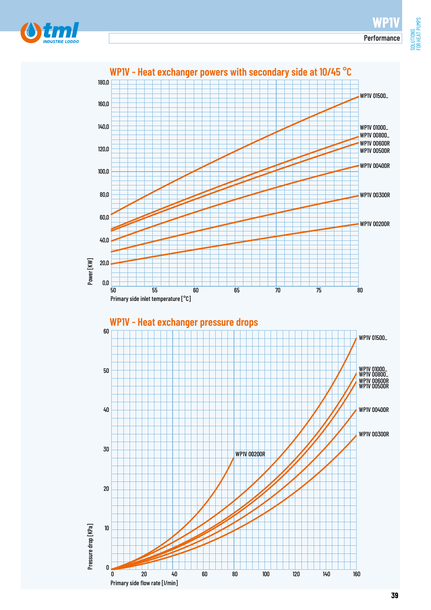FOR HEAT PUMPS



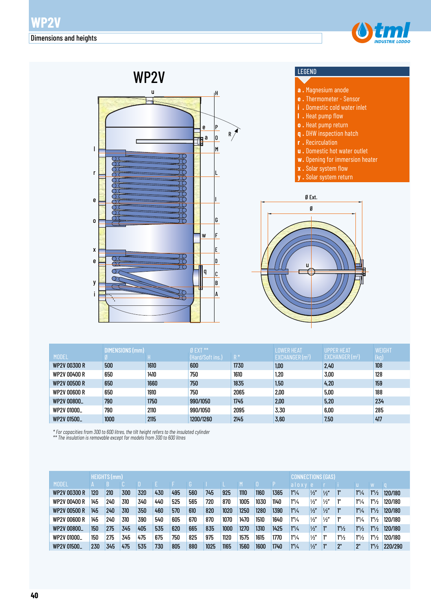



|                     | DIMENSIONS (mm) |      | Ø EXT **         |       | <b>LOWER HEAT</b> | <b>UPPER HEAT</b> | WEIGHT |
|---------------------|-----------------|------|------------------|-------|-------------------|-------------------|--------|
| <b>MODEL</b>        |                 |      | (Hard/Soft ins.) | $R^*$ | EXCHANGER $(m2)$  | EXCHANGER $(m2)$  | (kg)   |
| <b>WP2V 00300 R</b> | 500             | 1610 | 600              | 1730  | 1,00              | 2,40              | 108    |
| WP2V 00400 R        | 650             | 1410 | 750              | 1610  | 1,20              | 3,00              | 128    |
| <b>WP2V 00500 R</b> | 650             | 1660 | 750              | 1835  | 1,50              | 4.20              | 159    |
| <b>WP2V 00600 R</b> | 650             | 1910 | 750              | 2065  | 2,00              | 5,00              | 188    |
| WP2V 00800_         | 790             | 1750 | 990/1050         | 1745  | 2,00              | 5,20              | 234    |
| WP2V 01000_         | 790             | 2110 | 990/1050         | 2095  | 3,30              | 6.00              | 285    |
| WP2V 01500_         | 1000            | 2115 | 1200/1260        | 2145  | 3,60              | 7,50              | 417    |

*\* For capacities from 300 to 600 litres, the tilt height refers to the insulated cylinder \*\* The insulation is removable except for models from 300 to 600 litres*

|                     |     | <b>HEIGHTS (mm)</b> |     |     |     |     |     |      |      |      |      |      |                      |               |               | IECTIONS (GAS)    |                   |                       |         |  |  |  |
|---------------------|-----|---------------------|-----|-----|-----|-----|-----|------|------|------|------|------|----------------------|---------------|---------------|-------------------|-------------------|-----------------------|---------|--|--|--|
| <b>MODEL</b>        |     |                     |     |     |     |     |     |      |      |      |      |      | aloxy e              |               |               |                   |                   |                       |         |  |  |  |
| <b>WP2V 00300 R</b> | 120 | 210                 | 300 | 320 | 430 | 495 | 560 | 745  | 925  | 1110 | 1160 | 1365 | 1 <sup>n</sup> /4    | $\frac{1}{2}$ | $\frac{1}{2}$ | 1"                | 1 <sup>n</sup> /4 | 1 <sup>n</sup> /2     | 120/180 |  |  |  |
| <b>WP2V 00400 R</b> | 145 | 240                 | 310 | 340 | 440 | 525 | 565 | 720  | 870  | 1005 | 1030 | 1140 | $1^{\prime\prime}/4$ | $\frac{1}{2}$ | $\frac{1}{2}$ | 1"                | $1''\frac{1}{4}$  | 1 <sup>n</sup> /2     | 120/180 |  |  |  |
| <b>WP2V 00500 R</b> | 145 | 240                 | 310 | 350 | 460 | 570 | 610 | 820  | 1020 | 1250 | 1280 | 1390 | 1 <sup>n</sup> /4    | $\frac{1}{2}$ | $\frac{1}{2}$ | 1"                | 1 <sup>n</sup> /4 | 1 <sup>n</sup> /2     | 120/180 |  |  |  |
| <b>WP2V 00600 R</b> | 145 | 240                 | 310 | 390 | 540 | 605 | 670 | 870  | 1070 | 1470 | 1510 | 1640 | $1^{\prime\prime}/4$ | $\frac{1}{2}$ | $\frac{1}{2}$ | 1"                | 1 <sup>n</sup> /4 | 1 <sup>n</sup> /2     | 120/180 |  |  |  |
| WP2V 00800_         | 150 | 275                 | 345 | 405 | 535 | 620 | 665 | 835  | 1000 | 1270 | 1310 | 1425 | 1 <sup>n</sup> /4    | $\frac{1}{2}$ | 1"            | 1 <sup>n</sup> /2 | $1''\frac{1}{2}$  | 1 <sup>n</sup> /2     | 120/180 |  |  |  |
| WP2V 01000_         | 150 | 275                 | 345 | 475 | 675 | 750 | 825 | 975  | 1120 | 1575 | 1615 | 1770 | 1 <sup>n</sup> /4    | $\frac{1}{2}$ | 111           | 1 <sup>n</sup> /2 | 1 <sup>n</sup> /2 | $1^{\prime\prime}/_2$ | 120/180 |  |  |  |
| WP2V 01500_         | 230 | 345                 | 475 | 535 | 730 | 805 | 880 | 1025 | 1165 | 1560 | 1600 | 1740 | 1 <sup>n</sup> /4    | $\frac{1}{2}$ |               | 2"                | 2"                | 1 <sup>n</sup> /2     | 220/290 |  |  |  |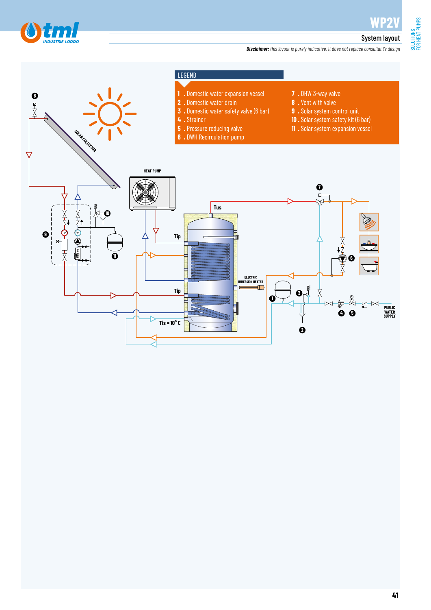

SOLUTIONS<br>FOR HEAT PUMPS FOR HEAT PUMPS

#### System layout

*Disclaimer: this layout is purely indicative. It does not replace consultant's design*

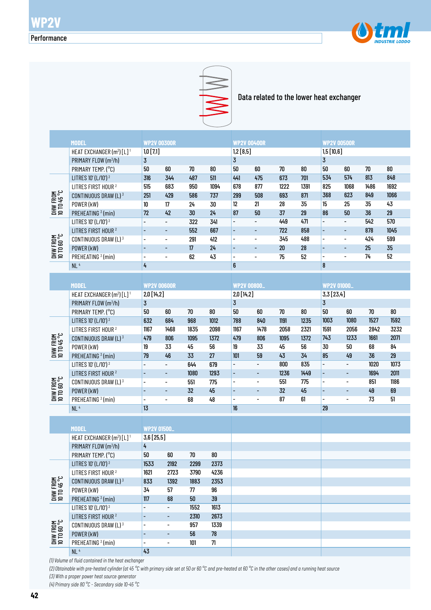



Data related to the lower heat exchanger

|                                | <b>MODEL</b>                                      |                                   |                          |      |            | <b>WP2V 00400R</b>          |                          |        |            | <b>WP2V 00500R</b>       |                              |            |        |  |  |
|--------------------------------|---------------------------------------------------|-----------------------------------|--------------------------|------|------------|-----------------------------|--------------------------|--------|------------|--------------------------|------------------------------|------------|--------|--|--|
|                                | HEAT EXCHANGER (m <sup>2</sup> ) [L] <sup>1</sup> | <b>WP2V 00300R</b><br>$1,0$ [7,1] |                          |      |            |                             |                          |        |            | 1,5[10,6]                |                              |            |        |  |  |
|                                | PRIMARY FLOW (m <sup>3</sup> /h)                  | $\overline{3}$                    |                          |      |            | 1,2 [8,5]<br>$\overline{3}$ |                          |        |            | $\overline{3}$           |                              |            |        |  |  |
|                                | PRIMARY TEMP. (°C)                                | 50                                | 60                       | 70   | $80\,$     | $50\,$                      | 60                       | $70\,$ | 80         | 50                       | $60\,$                       | $70\,$     | $80\,$ |  |  |
|                                |                                                   |                                   | 344                      | 487  | 511        | 441                         | 475                      | 673    | 701        | 534                      | 574                          | 813        | 848    |  |  |
| DHW FROM<br>10 TD 45 °C        | LITRES 10' (L/10') <sup>2</sup>                   | 316                               |                          |      |            |                             |                          |        |            | 825                      |                              |            | 1692   |  |  |
|                                | LITRES FIRST HOUR <sup>2</sup>                    | 515                               | 683                      | 950  | 1094       | 678                         | 877                      | 1222   | 1391       |                          | 1068                         | 1486       |        |  |  |
|                                | CONTINUOUS DRAW (L) 3                             | 251                               | 429                      | 586  | 737        | 299                         | 508                      | 693    | 871        | 368                      | 623                          | 849        | 1066   |  |  |
|                                | POWER (kW)                                        | 10                                | $17\,$                   | 24   | 30         | 12                          | 21                       | 28     | 35         | 15                       | 25                           | 35         | 43     |  |  |
|                                | PREHEATING <sup>3</sup> (min)                     | 72                                | 42                       | 30   | 24         | 87                          | 50                       | 37     | 29         | 86                       | 50                           | 36         | 29     |  |  |
| <b>DHW FROM</b><br>10 TO 60 °C | LITRES 10' (L/10') <sup>2</sup>                   | $\overline{\phantom{0}}$          | $\qquad \qquad -$        | 322  | 341        | $\overline{\phantom{0}}$    | $\overline{\phantom{0}}$ | 449    | 471        | $\overline{\phantom{a}}$ | $\blacksquare$               | 542        | 570    |  |  |
|                                | LITRES FIRST HOUR <sup>2</sup>                    |                                   | L,                       | 552  | 667        | $\overline{\phantom{a}}$    | $\blacksquare$           | 722    | 858        | $\blacksquare$           | ÷,                           | 878        | 1045   |  |  |
|                                | CONTINUOUS DRAW (L) 3                             | $\overline{\phantom{a}}$          | $\overline{\phantom{0}}$ | 291  | 412        | $\overline{\phantom{0}}$    | $\overline{\phantom{a}}$ | 345    | 488        | $\overline{\phantom{a}}$ | $\overline{\phantom{a}}$     | 424        | 599    |  |  |
|                                | POWER (kW)                                        | $\overline{\phantom{a}}$          | ÷,                       | 17   | 24         | $\overline{\phantom{a}}$    | $\overline{\phantom{a}}$ | $20\,$ | ${\bf 28}$ | $\overline{\phantom{a}}$ | $\overline{\phantom{a}}$     | 25         | 35     |  |  |
|                                | PREHEATING <sup>3</sup> (min)                     | $\overline{\phantom{0}}$          | $\overline{\phantom{0}}$ | 62   | 43         | $\overline{\phantom{0}}$    | $\overline{\phantom{0}}$ | 75     | 52         | $\overline{\phantom{a}}$ | $\qquad \qquad \blacksquare$ | 74         | 52     |  |  |
|                                | NL <sup>4</sup>                                   | 4                                 |                          |      |            | $\boldsymbol{6}$            |                          |        |            | ${\bf 8}$                |                              |            |        |  |  |
|                                |                                                   |                                   |                          |      |            |                             |                          |        |            |                          |                              |            |        |  |  |
|                                | <b>MODEL</b>                                      | <b>WP2V 00600R</b>                |                          |      |            | <b>WP2V 00800.</b>          |                          |        |            |                          | <b>WP2V 01000_</b>           |            |        |  |  |
|                                | HEAT EXCHANGER (m <sup>2</sup> ) [L] <sup>1</sup> | 2,0 [14,2]                        |                          |      |            | 2,0 [14,2]                  |                          |        |            | 3,3 [23,4]               |                              |            |        |  |  |
| DHW FROM<br>10 TD 45 °C        | PRIMARY FLOW (m3/h)                               | $\overline{3}$                    |                          |      |            | $\overline{3}$              |                          |        |            | $\overline{3}$           |                              |            |        |  |  |
|                                | PRIMARY TEMP. (°C)                                | 50                                | 60                       | 70   | $80\,$     | 50                          | 60                       | $70\,$ | $80\,$     | 50                       | 60                           | $70\,$     | 80     |  |  |
|                                | LITRES 10' (L/10') <sup>2</sup>                   | 632                               | 684                      | 968  | 1012       | 788                         | 840                      | 1191   | 1235       | 1003                     | 1080                         | 1527       | 1592   |  |  |
|                                | LITRES FIRST HOUR <sup>2</sup>                    | 1167                              | 1468                     | 1835 | 2098       | 1167                        | 1478                     | 2058   | 2321       | 1591                     | 2056                         | 2842       | 3232   |  |  |
|                                | CONTINUOUS DRAW (L) 3                             | 479                               | 806                      | 1095 | 1372       | 479                         | 806                      | 1095   | 1372       | 743                      | 1233                         | 1661       | 2071   |  |  |
|                                | POWER (kW)                                        | 19                                | 33                       | 45   | 56         | 19                          | 33                       | 45     | 56         | 30                       | 50                           | 68         | 84     |  |  |
|                                | PREHEATING <sup>3</sup> (min)                     | 79                                | 46                       | 33   | 27         | 101                         | 59                       | 43     | 34         | 85                       | 49                           | 36         | 29     |  |  |
|                                | LITRES 10' (L/10') <sup>2</sup>                   |                                   | $\qquad \qquad -$        | 644  | 679        | $\overline{a}$              | $\Box$                   | 800    | 835        | $\overline{\phantom{a}}$ | $\blacksquare$               | 1020       | 1073   |  |  |
|                                | LITRES FIRST HOUR <sup>2</sup>                    |                                   | $\overline{\phantom{0}}$ | 1080 | 1293       | $\blacksquare$              | $\overline{\phantom{a}}$ | 1236   | 1449       | $\Box$                   | $\overline{\phantom{a}}$     | 1694       | 2011   |  |  |
| DHW FROM<br>10 TO 60 °C        | CONTINUOUS DRAW (L) <sup>3</sup>                  | $\overline{\phantom{a}}$          | $\qquad \qquad -$        | 551  | 775        | $\frac{1}{2}$               | $\overline{\phantom{a}}$ | 551    | 775        | $\overline{\phantom{a}}$ | $\qquad \qquad \blacksquare$ | 851        | 1186   |  |  |
|                                | POWER (kW)                                        |                                   | ÷,                       | 32   | 45         | $\blacksquare$              | $\overline{\phantom{a}}$ | 32     | 45         | $\overline{\phantom{a}}$ | $\blacksquare$               | $\pmb{49}$ | 69     |  |  |
|                                | PREHEATING <sup>3</sup> (min)                     | $\overline{\phantom{0}}$          | $\overline{\phantom{0}}$ | 68   | 48         | $\overline{\phantom{0}}$    | $\overline{\phantom{a}}$ | 87     | 61         |                          | $\qquad \qquad \blacksquare$ | 73         | 51     |  |  |
|                                | NL <sup>4</sup>                                   | 13                                |                          |      |            | 16                          |                          |        |            | 29                       |                              |            |        |  |  |
|                                |                                                   |                                   |                          |      |            |                             |                          |        |            |                          |                              |            |        |  |  |
|                                |                                                   |                                   |                          |      |            |                             |                          |        |            |                          |                              |            |        |  |  |
|                                | <b>MODEL</b>                                      | <b>WP2V 01500_</b><br>3,6[25,5]   |                          |      |            |                             |                          |        |            |                          |                              |            |        |  |  |
|                                | HEAT EXCHANGER (m <sup>2</sup> ) [L] <sup>1</sup> |                                   |                          |      |            |                             |                          |        |            |                          |                              |            |        |  |  |
|                                | PRIMARY FLOW (m <sup>3</sup> /h)                  | 4                                 |                          |      |            |                             |                          |        |            |                          |                              |            |        |  |  |
| DHW FROM<br>10 TO 45 °C        | PRIMARY TEMP. (°C)                                | 50                                | 60                       | 70   | 80         |                             |                          |        |            |                          |                              |            |        |  |  |
|                                | LITRES 10' (L/10') <sup>2</sup>                   | 1533                              | 2192                     | 2299 | 2373       |                             |                          |        |            |                          |                              |            |        |  |  |
|                                | LITRES FIRST HOUR <sup>2</sup>                    | 1621                              | 2723                     | 3790 | 4236       |                             |                          |        |            |                          |                              |            |        |  |  |
|                                | CONTINUOUS DRAW (L) 3                             | 833                               | 1392                     | 1883 | 2353       |                             |                          |        |            |                          |                              |            |        |  |  |
|                                | POWER (kW)                                        | 34                                | 57                       | 77   | 96         |                             |                          |        |            |                          |                              |            |        |  |  |
|                                | PREHEATING <sup>3</sup> (min)                     | 117                               | 68                       | 50   | 39         |                             |                          |        |            |                          |                              |            |        |  |  |
| DHW FROM<br>10 TO 60 °C        | LITRES 10' (L/10') <sup>2</sup>                   |                                   | $\overline{\phantom{0}}$ | 1552 | 1613       |                             |                          |        |            |                          |                              |            |        |  |  |
|                                | LITRES FIRST HOUR <sup>2</sup>                    | $\overline{\phantom{a}}$          | ٠                        | 2310 | 2673       |                             |                          |        |            |                          |                              |            |        |  |  |
|                                | CONTINUOUS DRAW (L) 3                             | $\overline{\phantom{a}}$          | -                        | 957  | 1339       |                             |                          |        |            |                          |                              |            |        |  |  |
|                                | POWER (kW)                                        |                                   | ٠                        | 56   | ${\bf 78}$ |                             |                          |        |            |                          |                              |            |        |  |  |
|                                | PREHEATING <sup>3</sup> (min)                     |                                   | -                        | 101  | 71         |                             |                          |        |            |                          |                              |            |        |  |  |

*(1) Volume of fluid contained in the heat exchanger*

 $NL<sup>4</sup>$ 

*(2) Obtainable with pre-heated cylinder (at 45 °C with primary side set at 50 or 60 °C and pre-heated at 60 °C in the other cases) and a running heat source (3) With a proper power heat source generator*

43

*(4) Primary side 80 °C - Secondary side 10-45 °C*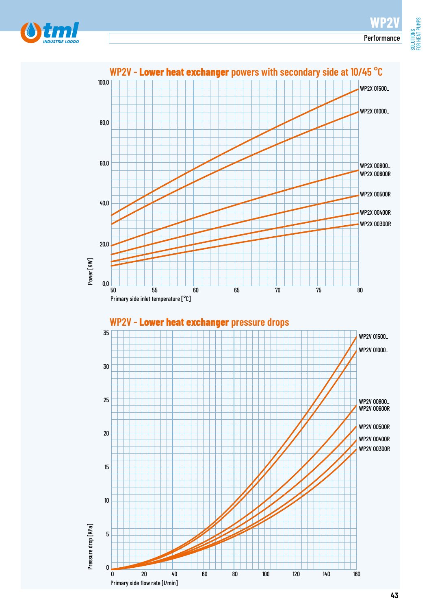SOLUTIONS<br>FOR HEAT PUMPS FOR HEAT PUMPS



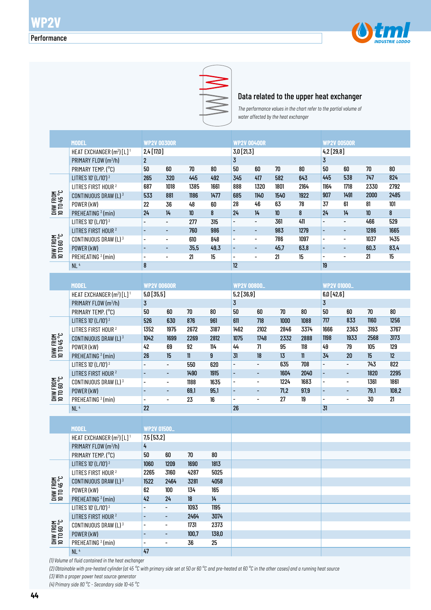



#### Data related to the upper heat exchanger

*The performance values in the chart refer to the partial volume of water affected by the heat exchanger* 

|                                                    | <b>MODEL</b>                                      | <b>WP2V 00300R</b>       |                              |             |        | <b>WP2V 00400R</b>           |                              |      |      | <b>WP2V 00500R</b>           |                          |        |        |  |
|----------------------------------------------------|---------------------------------------------------|--------------------------|------------------------------|-------------|--------|------------------------------|------------------------------|------|------|------------------------------|--------------------------|--------|--------|--|
|                                                    | HEAT EXCHANGER (m <sup>2</sup> ) [L] <sup>1</sup> | 2,4 [17,0]               |                              |             |        | 3,0 [21,3]                   |                              |      |      | $4,2$ [29,8]                 |                          |        |        |  |
|                                                    | PRIMARY FLOW (m <sup>3</sup> /h)                  | $\overline{2}$           |                              |             |        | 3                            | 60                           | 70   | 80   | 3<br>50                      | $60\,$                   |        | $80\,$ |  |
|                                                    | PRIMARY TEMP. (°C)                                | 50                       | 60                           | 70          | 80     | $50\,$                       |                              |      |      |                              |                          | 70     |        |  |
| DHW FROM<br>10 TD 45 °C<br>DHW FROM<br>10 TO 60 °C | LITRES 10' (L/10') <sup>2</sup>                   | 265                      | 320                          | 445         | 492    | 345                          | 417                          | 582  | 643  | 445                          | 538                      | 747    | 824    |  |
|                                                    | LITRES FIRST HOUR <sup>2</sup>                    | 687                      | 1018                         | 1385        | 1661   | 888                          | 1320                         | 1801 | 2164 | 1164                         | 1718                     | 2330   | 2792   |  |
|                                                    | CONTINUOUS DRAW (L) 3                             | 533                      | 881                          | 1186        | 1477   | 685                          | 1140                         | 1540 | 1922 | 907                          | 1491                     | 2000   | 2485   |  |
|                                                    | POWER (kW)                                        | 22                       | 36                           | 48          | 60     | 28                           | 46                           | 63   | 78   | 37                           | 61                       | 81     | 101    |  |
|                                                    | PREHEATING <sup>3</sup> (min)                     | 24                       | 14                           | 10          | 8      | 24                           | 14                           | 10   | 8    | 24                           | 14                       | $10\,$ | 8      |  |
|                                                    | LITRES 10' (L/10') <sup>2</sup>                   | $\overline{\phantom{a}}$ | $\overline{\phantom{a}}$     | 277         | 315    | $\overline{a}$               | $\overline{\phantom{a}}$     | 361  | 411  | $\overline{\phantom{0}}$     | $\blacksquare$           | 466    | 529    |  |
|                                                    | LITRES FIRST HOUR <sup>2</sup>                    |                          | $\qquad \qquad \blacksquare$ | 760         | 986    | ÷,                           | $\qquad \qquad \blacksquare$ | 983  | 1279 | $\overline{\phantom{a}}$     | $\overline{\phantom{a}}$ | 1286   | 1665   |  |
|                                                    | CONTINUOUS DRAW (L) 3                             | $\overline{\phantom{0}}$ | $\qquad \qquad \blacksquare$ | 610         | 848    | $\overline{\phantom{0}}$     | $\overline{\phantom{a}}$     | 786  | 1097 | $\overline{\phantom{a}}$     | $\overline{\phantom{a}}$ | 1037   | 1435   |  |
|                                                    | POWER (kW)                                        | $\overline{\phantom{a}}$ | ٠                            | 35,5        | 49,3   | $\qquad \qquad -$            | $\qquad \qquad \blacksquare$ | 45,7 | 63,8 | $\qquad \qquad \blacksquare$ | $\overline{\phantom{a}}$ | 60,3   | 83,4   |  |
|                                                    | PREHEATING <sup>3</sup> (min)                     | $\overline{\phantom{a}}$ | $\overline{\phantom{a}}$     | 21          | 15     | $\overline{\phantom{a}}$     | $\blacksquare$               | 21   | 15   | $\overline{\phantom{a}}$     | $\overline{\phantom{a}}$ | 21     | 15     |  |
|                                                    | NL <sup>4</sup>                                   | 8                        |                              |             |        | 12                           |                              |      |      | 19                           |                          |        |        |  |
|                                                    |                                                   |                          |                              |             |        |                              |                              |      |      |                              |                          |        |        |  |
|                                                    | <b>MODEL</b>                                      | <b>WP2V 00600R</b>       |                              |             |        | <b>WP2V 00800.</b>           |                              |      |      | <b>WP2V 01000_</b>           |                          |        |        |  |
|                                                    | HEAT EXCHANGER (m <sup>2</sup> ) [L] <sup>1</sup> | $5,0$ [35,5]             |                              |             |        | 5,2 [36,9]                   |                              |      |      | 6,0[42,6]                    |                          |        |        |  |
| DHW FROM<br>10 TD 45 °C                            | PRIMARY FLOW (m <sup>3</sup> /h)                  | 3                        |                              |             |        | 3                            |                              |      |      | $\overline{3}$               |                          |        |        |  |
|                                                    | PRIMARY TEMP. (°C)                                | 50                       | $60\,$                       | 70          | 80     | 50                           | 60                           | 70   | 80   | 50                           | 60                       | $70\,$ | $80\,$ |  |
|                                                    | LITRES 10' (L/10') <sup>2</sup>                   | 526                      | 630                          | 876         | 961    | 611                          | 718                          | 1000 | 1088 | 717                          | 833                      | 1160   | 1256   |  |
|                                                    | LITRES FIRST HOUR <sup>2</sup>                    | 1352                     | 1975                         | 2672        | 3187   | 1462                         | 2102                         | 2846 | 3374 | 1666                         | 2363                     | 3193   | 3767   |  |
|                                                    | CONTINUOUS DRAW (L) 3                             | 1042                     | 1699                         | 2269        | 2812   | 1075                         | 1748                         | 2332 | 2888 | 1198                         | 1933                     | 2568   | 3173   |  |
|                                                    | POWER (kW)                                        | 42                       | 69                           | 92          | 114    | 44                           | 71                           | 95   | 118  | 49                           | 79                       | 105    | 129    |  |
|                                                    | PREHEATING <sup>3</sup> (min)                     | 26                       | 15                           | $\mathbf l$ | 9      | 31                           | 18                           | 13   | 11   | 34                           | 20                       | 15     | 12     |  |
|                                                    | LITRES 10' (L/10') <sup>2</sup>                   |                          | $\overline{\phantom{a}}$     | 550         | 620    | $\frac{1}{2}$                | $\qquad \qquad -$            | 635  | 708  | $\overline{\phantom{a}}$     | $\overline{\phantom{0}}$ | 743    | 822    |  |
|                                                    | LITRES FIRST HOUR <sup>2</sup>                    |                          | $\overline{\phantom{a}}$     | 1490        | 1915   | $\qquad \qquad \blacksquare$ | -                            | 1604 | 2040 | $\overline{\phantom{a}}$     | $\overline{\phantom{a}}$ | 1820   | 2295   |  |
|                                                    | CONTINUOUS DRAW (L) 3                             | $\overline{\phantom{a}}$ | $\overline{\phantom{a}}$     | 1188        | 1635   | $\overline{\phantom{a}}$     | $\overline{\phantom{0}}$     | 1224 | 1683 | $\overline{\phantom{a}}$     | $\overline{\phantom{0}}$ | 1361   | 1861   |  |
|                                                    | POWER (kW)                                        |                          | $\overline{\phantom{a}}$     | 69,1        | 95,1   | $\overline{\phantom{a}}$     | $\overline{\phantom{0}}$     | 71,2 | 97,9 | $\overline{\phantom{a}}$     | ٠                        | 79,1   | 108,2  |  |
| DHW FROM<br>10 TO 60 °C                            | PREHEATING <sup>3</sup> (min)                     | $\overline{\phantom{a}}$ | $\overline{\phantom{a}}$     | 23          | $16\,$ | $\overline{\phantom{a}}$     | -                            | 27   | 19   | $\overline{\phantom{0}}$     | $\overline{\phantom{0}}$ | 30     | 21     |  |
|                                                    | NL <sup>4</sup>                                   | 22                       |                              |             |        | 26                           |                              |      |      | 31                           |                          |        |        |  |
|                                                    |                                                   |                          |                              |             |        |                              |                              |      |      |                              |                          |        |        |  |
|                                                    | <b>MODEL</b>                                      | <b>WP2V 01500_</b>       |                              |             |        |                              |                              |      |      |                              |                          |        |        |  |
|                                                    | HEAT EXCHANGER (m <sup>2</sup> ) [L] <sup>1</sup> | 7,5[53,2]                |                              |             |        |                              |                              |      |      |                              |                          |        |        |  |
|                                                    | PRIMARY FLOW (m <sup>3</sup> /h)                  | 4                        |                              |             |        |                              |                              |      |      |                              |                          |        |        |  |
|                                                    | PRIMARY TEMP. (°C)                                | 50                       | 60                           | 70          | 80     |                              |                              |      |      |                              |                          |        |        |  |
| DHW FROM<br>10 TO 45 °C<br>DHW FROM<br>10 TO 60 °C | LITRES 10' (L/10') <sup>2</sup>                   | 1060                     | 1209                         | 1690        | 1813   |                              |                              |      |      |                              |                          |        |        |  |
|                                                    | LITRES FIRST HOUR <sup>2</sup>                    | 2265                     | 3160                         | 4287        | 5025   |                              |                              |      |      |                              |                          |        |        |  |
|                                                    | CONTINUOUS DRAW (L) 3                             | 1522                     | 2464                         | 3281        | 4058   |                              |                              |      |      |                              |                          |        |        |  |
|                                                    | POWER (kW)                                        | 62                       | 100                          | 134         | 165    |                              |                              |      |      |                              |                          |        |        |  |
|                                                    | PREHEATING <sup>3</sup> (min)                     | 42                       | 24                           | 18          | 14     |                              |                              |      |      |                              |                          |        |        |  |
|                                                    | LITRES 10' (L/10') <sup>2</sup>                   |                          | $\qquad \qquad \blacksquare$ | 1093        | 1195   |                              |                              |      |      |                              |                          |        |        |  |
|                                                    | LITRES FIRST HOUR <sup>2</sup>                    |                          | ۰                            | 2464        | 3074   |                              |                              |      |      |                              |                          |        |        |  |
|                                                    | CONTINUOUS DRAW (L) 3                             | $\overline{\phantom{0}}$ | -                            | 1731        | 2373   |                              |                              |      |      |                              |                          |        |        |  |
|                                                    | POWER (kW)                                        |                          | ٠                            | 100,7       | 138,0  |                              |                              |      |      |                              |                          |        |        |  |
|                                                    | PREHEATING $\frac{3}{2}$ (min)                    |                          | $\qquad \qquad \blacksquare$ | 36          | 25     |                              |                              |      |      |                              |                          |        |        |  |

*(1) Volume of fluid contained in the heat exchanger*

PREHEATING 3 (min)

 $NL<sup>4</sup>$ 

*(2) Obtainable with pre-heated cylinder (at 45 °C with primary side set at 50 or 60 °C and pre-heated at 60 °C in the other cases) and a running heat source (3) With a proper power heat source generator*

- - 36 25

47

*(4) Primary side 80 °C - Secondary side 10-45 °C*